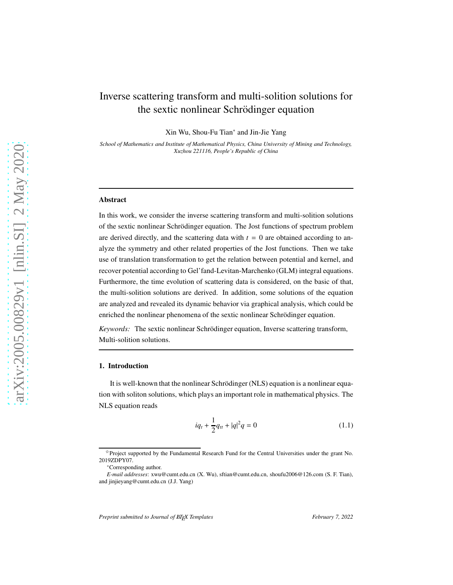# Inverse scattering transform and multi-solition solutions for the sextic nonlinear Schrödinger equation

Xin Wu, Shou-Fu Tian<sup>∗</sup> and Jin-Jie Yang

*School of Mathematics and Institute of Mathematical Physics, China University of Mining and Technology, Xuzhou 221116, People's Republic of China*

#### Abstract

In this work, we consider the inverse scattering transform and multi-solition solutions of the sextic nonlinear Schrödinger equation. The Jost functions of spectrum problem are derived directly, and the scattering data with  $t = 0$  are obtained according to analyze the symmetry and other related properties of the Jost functions. Then we take use of translation transformation to get the relation between potential and kernel, and recover potential according to Gel'fand-Levitan-Marchenko (GLM) integral equations. Furthermore, the time evolution of scattering data is considered, on the basic of that, the multi-solition solutions are derived. In addition, some solutions of the equation are analyzed and revealed its dynamic behavior via graphical analysis, which could be enriched the nonlinear phenomena of the sextic nonlinear Schrödinger equation.

*Keywords:* The sextic nonlinear Schrödinger equation, Inverse scattering transform, Multi-solition solutions.

#### 1. Introduction

It is well-known that the nonlinear Schrödinger (NLS) equation is a nonlinear equation with soliton solutions, which plays an important role in mathematical physics. The NLS equation reads

$$
iq_t + \frac{1}{2}q_{tt} + |q|^2 q = 0
$$
\n(1.1)

<sup>✩</sup>Project supported by the Fundamental Research Fund for the Central Universities under the grant No. 2019ZDPY07.

<sup>∗</sup>Corresponding author.

*E-mail addresses*: xwu@cumt.edu.cn (X. Wu), sftian@cumt.edu.cn, shoufu2006@126.com (S. F. Tian), and jinjieyang@cumt.edu.cn (J.J. Yang)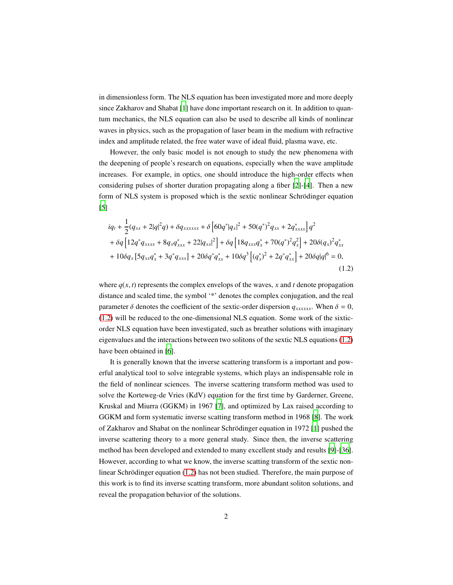in dimensionless form. The NLS equation has been investigated more and more deeply since Zakharov and Shabat [\[1](#page-22-0)] have done important research on it. In addition to quantum mechanics, the NLS equation can also be used to describe all kinds of nonlinear waves in physics, such as the propagation of laser beam in the medium with refractive index and amplitude related, the free water wave of ideal fluid, plasma wave, etc.

However, the only basic model is not enough to study the new phenomena with the deepening of people's research on equations, especially when the wave amplitude increases. For example, in optics, one should introduce the high-order effects when considering pulses of shorter duration propagating along a fiber [\[2\]](#page-22-1)-[\[4\]](#page-23-0). Then a new form of NLS system is proposed which is the sextic nonlinear Schrödinger equation [\[5](#page-23-1)]

<span id="page-1-0"></span>
$$
iq_{t} + \frac{1}{2}(q_{xx} + 2|q|^{2}q) + \delta q_{xxxxxx} + \delta \left[60q^{*}|q_{x}|^{2} + 50(q^{*})^{2}q_{xx} + 2q_{xxxx}^{*}\right]q^{2} + \delta q \left[12q^{*}q_{xxxx} + 8q_{x}q_{xxx}^{*} + 22|q_{xx}|^{2}\right] + \delta q \left[18q_{xxx}q_{x}^{*} + 70(q^{*})^{2}q_{x}^{2}\right] + 20\delta(q_{x})^{2}q_{xx}^{*} + 10\delta q_{x}\left[5q_{xx}q_{x}^{*} + 3q^{*}q_{xxx}\right] + 20\delta q^{*}q_{xx}^{*} + 10\delta q^{3}\left[(q_{x}^{*})^{2} + 2q^{*}q_{xx}^{*}\right] + 20\delta q|q|^{6} = 0,
$$
\n(1.2)

where  $q(x, t)$  represents the complex envelops of the waves, x and t denote propagation distance and scaled time, the symbol '\*' denotes the complex conjugation, and the real parameter  $\delta$  denotes the coefficient of the sextic-order dispersion  $q_{xxxxxx}$ . When  $\delta = 0$ , [\(1.2\)](#page-1-0) will be reduced to the one-dimensional NLS equation. Some work of the sixticorder NLS equation have been investigated, such as breather solutions with imaginary eigenvalues and the interactions between two solitons of the sextic NLS equations [\(1.2\)](#page-1-0) have been obtained in [\[6](#page-23-2)].

It is generally known that the inverse scattering transform is a important and powerful analytical tool to solve integrable systems, which plays an indispensable role in the field of nonlinear sciences. The inverse scattering transform method was used to solve the Korteweg-de Vries (KdV) equation for the first time by Garderner, Greene, Kruskal and Miurra (GGKM) in 1967 [\[7](#page-23-3)], and optimized by Lax raised according to GGKM and form systematic inverse scatting transform method in 1968 [\[8\]](#page-23-4). The work of Zakharov and Shabat on the nonlinear Schrödinger equation in 1972 [\[1\]](#page-22-0) pushed the inverse scattering theory to a more general study. Since then, the inverse scattering method has been developed and extended to many excellent study and results [\[9\]](#page-23-5)-[\[36\]](#page-25-0). However, according to what we know, the inverse scatting transform of the sextic nonlinear Schrödinger equation  $(1.2)$  has not been studied. Therefore, the main purpose of this work is to find its inverse scatting transform, more abundant soliton solutions, and reveal the propagation behavior of the solutions.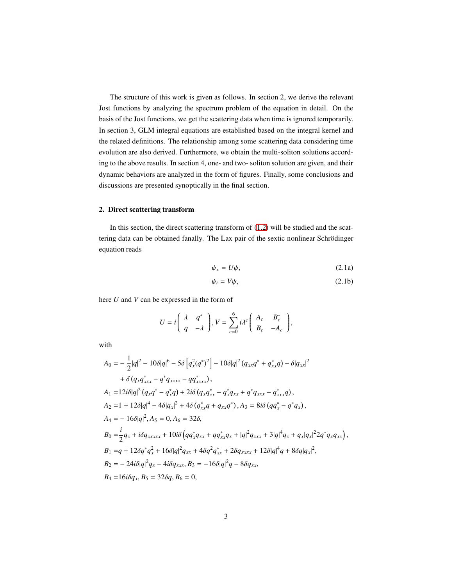The structure of this work is given as follows. In section 2, we derive the relevant Jost functions by analyzing the spectrum problem of the equation in detail. On the basis of the Jost functions, we get the scattering data when time is ignored temporarily. In section 3, GLM integral equations are established based on the integral kernel and the related definitions. The relationship among some scattering data considering time evolution are also derived. Furthermore, we obtain the multi-soliton solutions according to the above results. In section 4, one- and two- soliton solution are given, and their dynamic behaviors are analyzed in the form of figures. Finally, some conclusions and discussions are presented synoptically in the final section.

#### 2. Direct scattering transform

In this section, the direct scattering transform of  $(1.2)$  will be studied and the scattering data can be obtained fanally. The Lax pair of the sextic nonlinear Schrödinger equation reads

$$
\psi_x = U\psi, \tag{2.1a}
$$

$$
\psi_t = V\psi,\tag{2.1b}
$$

here *U* and *V* can be expressed in the form of

$$
U = i\left(\begin{array}{cc} \lambda & q^* \\ q & -\lambda \end{array}\right), V = \sum_{c=0}^{6} i\lambda^c \left(\begin{array}{cc} A_c & B_c^* \\ B_c & -A_c \end{array}\right),
$$

with

$$
A_0 = -\frac{1}{2}|q|^2 - 10\delta|q|^6 - 5\delta \left[q_x^2(q^*)^2\right] - 10\delta|q|^2 \left(q_{xx}q^* + q_{xx}^*q\right) - \delta|q_{xx}|^2
$$
  
+  $\delta \left(q_x q_{xxx}^* - q^* q_{xxxx} - q q_{xxx}^*\right),$   

$$
A_1 = 12i\delta|q|^2 \left(q_x q^* - q_x^*q\right) + 2i\delta \left(q_x q_{xx}^* - q_x^* q_{xx} + q^* q_{xxx} - q_{xxx}^*q\right),
$$
  

$$
A_2 = 1 + 12\delta|q|^4 - 4\delta|q_x|^2 + 4\delta \left(q_{xx}^* q + q_{xx}q^*\right), A_3 = 8i\delta \left(qq_x^* - q^* q_x\right),
$$
  

$$
A_4 = -16\delta|q|^2, A_5 = 0, A_6 = 32\delta,
$$
  

$$
B_0 = \frac{i}{2}q_x + i\delta q_{xxxxx} + 10i\delta \left(qq_x^* q_{xx} + qq_{xx}^* q_x + |q|^2 q_{xxx} + 3|q|^4 q_x + q_x|q_x|^2 2q^* q_x q_{xx}\right),
$$
  

$$
B_1 = q + 12\delta q^* q_x^2 + 16\delta|q|^2 q_{xx} + 4\delta q^2 q_{xx}^* + 2\delta q_{xxxx} + 12\delta|q|^4 q + 8\delta q|q_x|^2,
$$
  

$$
B_2 = -24i\delta|q|^2 q_x - 4i\delta q_{xxx}, B_3 = -16\delta|q|^2 q - 8\delta q_{xx},
$$
  

$$
B_4 = 16i\delta q_x, B_5 = 32\delta q, B_6 = 0,
$$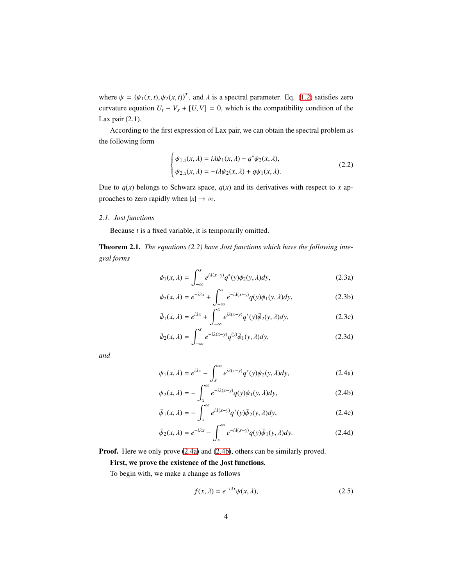where  $\psi = (\psi_1(x, t), \psi_2(x, t))^T$ , and  $\lambda$  is a spectral parameter. Eq. [\(1.2\)](#page-1-0) satisfies zero curvature equation  $U_t - V_x + [U, V] = 0$ , which is the compatibility condition of the Lax pair (2.1).

According to the first expression of Lax pair, we can obtain the spectral problem as the following form

<span id="page-3-1"></span>
$$
\begin{cases} \psi_{1,x}(x,\lambda) = i\lambda \psi_1(x,\lambda) + q^* \psi_2(x,\lambda), \\ \psi_{2,x}(x,\lambda) = -i\lambda \psi_2(x,\lambda) + q\psi_1(x,\lambda). \end{cases}
$$
\n(2.2)

Due to  $q(x)$  belongs to Schwarz space,  $q(x)$  and its derivatives with respect to x approaches to zero rapidly when  $|x| \to \infty$ .

### *2.1. Jost functions*

Because *t* is a fixed variable, it is temporarily omitted.

<span id="page-3-0"></span>Theorem 2.1. *The equations (2.2) have Jost functions which have the following integral forms*

$$
\phi_1(x,\lambda) = \int_{-\infty}^x e^{i\lambda(x-y)} q^*(y) \phi_2(y,\lambda) dy,
$$
\n(2.3a)

$$
\phi_2(x,\lambda) = e^{-i\lambda x} + \int_{-\infty}^x e^{-i\lambda(x-y)} q(y)\phi_1(y,\lambda)dy,
$$
\n(2.3b)

$$
\bar{\phi}_1(x,\lambda) = e^{i\lambda x} + \int_{-\infty}^{\infty} e^{i\lambda(x-y)} q^*(y) \bar{\phi}_2(y,\lambda) dy,
$$
 (2.3c)

$$
\bar{\phi}_2(x,\lambda) = \int_{-\infty}^x e^{-i\lambda(x-y)} q^{(y)} \bar{\phi}_1(y,\lambda) dy,
$$
\n(2.3d)

*and*

$$
\psi_1(x,\lambda) = e^{i\lambda x} - \int_x^{\infty} e^{i\lambda(x-y)} q^*(y) \psi_2(y,\lambda) dy,
$$
\n(2.4a)

$$
\psi_2(x,\lambda) = -\int_x^{\infty} e^{-i\lambda(x-y)} q(y)\psi_1(y,\lambda)dy,
$$
\n(2.4b)

$$
\bar{\psi}_1(x,\lambda) = -\int_x^{\infty} e^{i\lambda(x-y)} q^*(y) \bar{\psi}_2(y,\lambda) dy,
$$
\n(2.4c)

$$
\bar{\psi}_2(x,\lambda) = e^{-i\lambda x} - \int_x^{\infty} e^{-i\lambda(x-y)} q(y) \bar{\psi}_1(y,\lambda) dy.
$$
 (2.4d)

Proof. Here we only prove [\(2.4a\)](#page-3-0) and [\(2.4b\)](#page-3-0), others can be similarly proved.

## First, we prove the existence of the Jost functions.

To begin with, we make a change as follows

$$
f(x,\lambda) = e^{-i\lambda x} \psi(x,\lambda),\tag{2.5}
$$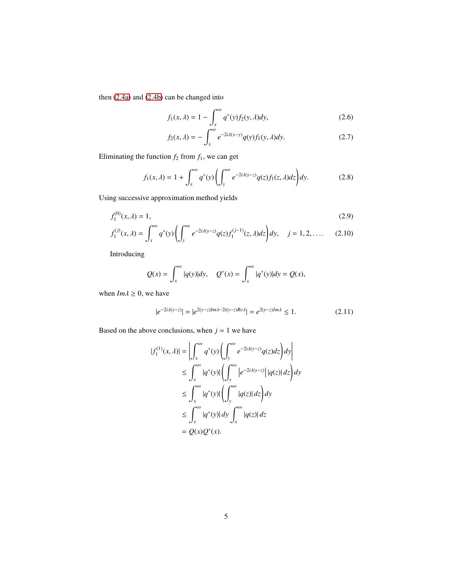then [\(2.4a\)](#page-3-0) and [\(2.4b\)](#page-3-0) can be changed into

$$
f_1(x,\lambda) = 1 - \int_x^{\infty} q^*(y) f_2(y,\lambda) dy,
$$
 (2.6)

<span id="page-4-0"></span>
$$
f_2(x,\lambda) = -\int_x^{\infty} e^{-2i\lambda(x-y)} q(y) f_1(y,\lambda) dy.
$$
 (2.7)

Eliminating the function  $f_2$  from  $f_1$ , we can get

$$
f_1(x,\lambda) = 1 + \int_x^{\infty} q^*(y) \left( \int_y^{\infty} e^{-2i\lambda(y-z)} q(z) f_1(z,\lambda) dz \right) dy.
$$
 (2.8)

Using successive approximation method yields

$$
f_1^{(0)}(x,\lambda) = 1,\tag{2.9}
$$

$$
f_1^{(j)}(x,\lambda) = \int_x^{\infty} q^*(y) \left( \int_y^{\infty} e^{-2i\lambda(y-z)} q(z) f_1^{(j-1)}(z,\lambda) dz \right) dy, \quad j = 1, 2, .... \quad (2.10)
$$

Introducing

$$
Q(x) = \int_x^{\infty} |q(y)| dy, \quad Q^*(x) = \int_x^{\infty} |q^*(y)| dy = Q(x),
$$

when  $Im \lambda \geq 0$ , we have

$$
|e^{-2i\lambda(y-z)}| = |e^{2(y-z)Im\lambda - 2i(y-z)Re\lambda}| = e^{2(y-z)Im\lambda} \le 1.
$$
 (2.11)

Based on the above conclusions, when  $j = 1$  we have

$$
|f_1^{(1)}(x,\lambda)| = \left| \int_x^{\infty} q^*(y) \left( \int_y^{\infty} e^{-2i\lambda(y-z)} q(z) dz \right) dy \right|
$$
  
\n
$$
\leq \int_x^{\infty} |q^*(y)| \left( \int_y^{\infty} |e^{-2i\lambda(y-z)}| |q(z)| dz \right) dy
$$
  
\n
$$
\leq \int_x^{\infty} |q^*(y)| \left( \int_y^{\infty} |q(z)| dz \right) dy
$$
  
\n
$$
\leq \int_x^{\infty} |q^*(y)| dy \int_x^{\infty} |q(z)| dz
$$
  
\n
$$
= Q(x)Q^*(x).
$$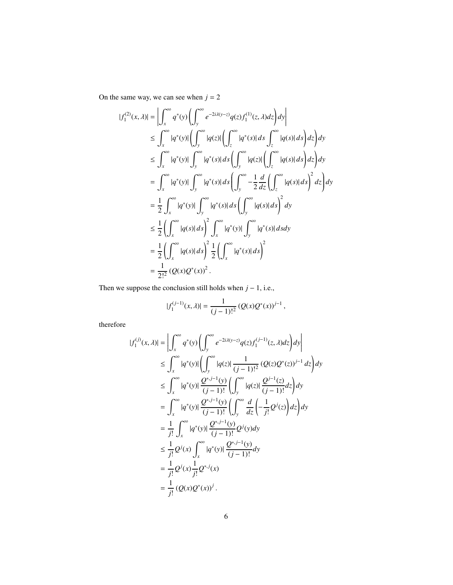On the same way, we can see when  $j = 2$ 

$$
|f_1^{(2)}(x,\lambda)| = \left| \int_x^{\infty} q^*(y) \left( \int_y^{\infty} e^{-2i\lambda(y-z)} q(z) f_1^{(1)}(z,\lambda) dz \right) dy \right|
$$
  
\n
$$
\leq \int_x^{\infty} |q^*(y)| \left( \int_y^{\infty} |q(z)| \left( \int_z^{\infty} |q^*(s)| ds \int_z^{\infty} |q(s)| ds \right) dz \right) dy
$$
  
\n
$$
\leq \int_x^{\infty} |q^*(y)| \int_y^{\infty} |q^*(s)| ds \left( \int_y^{\infty} |q(z)| \left( \int_z^{\infty} |q(s)| ds \right) dz \right) dy
$$
  
\n
$$
= \int_x^{\infty} |q^*(y)| \int_y^{\infty} |q^*(s)| ds \left( \int_y^{\infty} -\frac{1}{2} \frac{d}{dz} \left( \int_z^{\infty} |q(s)| ds \right)^2 dz \right) dy
$$
  
\n
$$
= \frac{1}{2} \int_x^{\infty} |q^*(y)| \int_y^{\infty} |q^*(s)| ds \left( \int_y^{\infty} |q(s)| ds \right)^2 dy
$$
  
\n
$$
\leq \frac{1}{2} \left( \int_x^{\infty} |q(s)| ds \right)^2 \int_x^{\infty} |q^*(y)| \int_y^{\infty} |q^*(s)| ds dy
$$
  
\n
$$
= \frac{1}{2} \left( \int_x^{\infty} |q(s)| ds \right)^2 \frac{1}{2} \left( \int_x^{\infty} |q^*(s)| ds \right)^2
$$
  
\n
$$
= \frac{1}{2!^2} (Q(x) Q^*(x))^2.
$$

Then we suppose the conclusion still holds when *j* − 1, i.e.,

$$
|f_1^{(j-1)}(x,\lambda)| = \frac{1}{(j-1)!^2} (Q(x)Q^*(x))^{j-1},
$$

therefore

$$
|f_1^{(j)}(x,\lambda)| = \left| \int_x^{\infty} q^*(y) \left( \int_y^{\infty} e^{-2i\lambda(y-z)} q(z) f_1^{(j-1)}(z,\lambda) dz \right) dy \right|
$$
  
\n
$$
\leq \int_x^{\infty} |q^*(y)| \left( \int_y^{\infty} |q(z)| \frac{1}{(j-1)!^2} (Q(z) Q^*(z))^{j-1} dz \right) dy
$$
  
\n
$$
\leq \int_x^{\infty} |q^*(y)| \frac{Q^{*,j-1}(y)}{(j-1)!} \left( \int_y^{\infty} |q(z)| \frac{Q^{j-1}(z)}{(j-1)!} dz \right) dy
$$
  
\n
$$
= \int_x^{\infty} |q^*(y)| \frac{Q^{*,j-1}(y)}{(j-1)!} \left( \int_y^{\infty} \frac{d}{dz} \left( -\frac{1}{j!} Q^j(z) \right) dz \right) dy
$$
  
\n
$$
= \frac{1}{j!} \int_x^{\infty} |q^*(y)| \frac{Q^{*,j-1}(y)}{(j-1)!} Q^j(y) dy
$$
  
\n
$$
\leq \frac{1}{j!} Q^j(x) \int_x^{\infty} |q^*(y)| \frac{Q^{*,j-1}(y)}{(j-1)!} dy
$$
  
\n
$$
= \frac{1}{j!} Q^j(x) \frac{1}{j!} Q^{*,j}(x)
$$
  
\n
$$
= \frac{1}{j!} (Q(x) Q^*(x))^j.
$$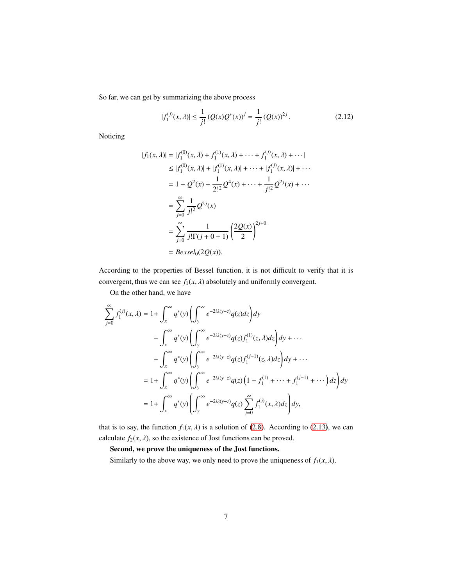So far, we can get by summarizing the above process

<span id="page-6-0"></span>
$$
|f_1^{(j)}(x,\lambda)| \le \frac{1}{j!} \left(Q(x)Q^*(x)\right)^j = \frac{1}{j!} \left(Q(x)\right)^{2j}.
$$
 (2.12)

Noticing

$$
|f_1(x, \lambda)| = |f_1^{(0)}(x, \lambda) + f_1^{(1)}(x, \lambda) + \dots + f_1^{(j)}(x, \lambda) + \dots|
$$
  
\n
$$
\leq |f_1^{(0)}(x, \lambda)| + |f_1^{(1)}(x, \lambda)| + \dots + |f_1^{(j)}(x, \lambda)| + \dots
$$
  
\n
$$
= 1 + Q^2(x) + \frac{1}{2!^2}Q^4(x) + \dots + \frac{1}{j!^2}Q^{2j}(x) + \dots
$$
  
\n
$$
= \sum_{j=0}^{\infty} \frac{1}{j!^2}Q^{2j}(x)
$$
  
\n
$$
= \sum_{j=0}^{\infty} \frac{1}{j!\Gamma(j+0+1)} \left(\frac{2Q(x)}{2}\right)^{2j+0}
$$
  
\n
$$
= Bessel_0(2Q(x)).
$$

According to the properties of Bessel function, it is not difficult to verify that it is convergent, thus we can see  $f_1(x, \lambda)$  absolutely and uniformly convergent.

On the other hand, we have

$$
\sum_{j=0}^{\infty} f_1^{(j)}(x,\lambda) = 1 + \int_x^{\infty} q^*(y) \left( \int_y^{\infty} e^{-2i\lambda(y-z)} q(z) dz \right) dy \n+ \int_x^{\infty} q^*(y) \left( \int_y^{\infty} e^{-2i\lambda(y-z)} q(z) f_1^{(1)}(z,\lambda) dz \right) dy + \cdots \n+ \int_x^{\infty} q^*(y) \left( \int_y^{\infty} e^{-2i\lambda(y-z)} q(z) f_1^{(j-1)}(z,\lambda) dz \right) dy + \cdots \n= 1 + \int_x^{\infty} q^*(y) \left( \int_y^{\infty} e^{-2i\lambda(y-z)} q(z) \left( 1 + f_1^{(1)} + \cdots + f_1^{(j-1)} + \cdots \right) dz \right) dy \n= 1 + \int_x^{\infty} q^*(y) \left( \int_y^{\infty} e^{-2i\lambda(y-z)} q(z) \sum_{j=0}^{\infty} f_1^{(j)}(x,\lambda) dz \right) dy,
$$

that is to say, the function  $f_1(x, \lambda)$  is a solution of [\(2.8\)](#page-4-0). According to [\(2.13\)](#page-7-0), we can calculate  $f_2(x, \lambda)$ , so the existence of Jost functions can be proved.

Second, we prove the uniqueness of the Jost functions.

Similarly to the above way, we only need to prove the uniqueness of  $f_1(x, \lambda)$ .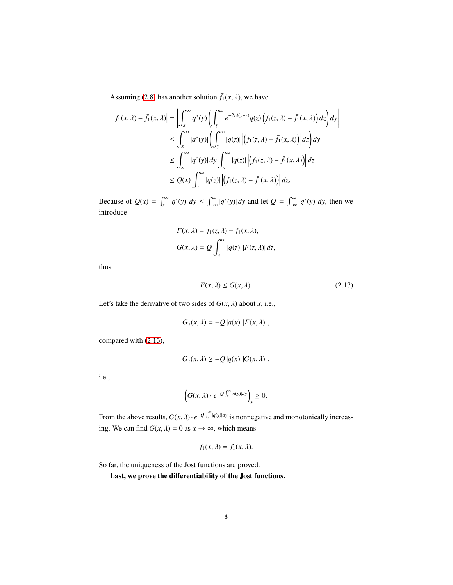Assuming [\(2.8\)](#page-4-0) has another solution  $\bar{f}_1(x, \lambda)$ , we have

$$
\begin{aligned}\n\left|f_1(x,\lambda) - \bar{f}_1(x,\lambda)\right| &= \left| \int_x^\infty q^*(y) \left( \int_y^\infty e^{-2i\lambda(y-z)} q(z) \left( f_1(z,\lambda) - \bar{f}_1(x,\lambda) \right) dz \right) dy \right| \\
&\leq \int_x^\infty |q^*(y)| \left( \int_y^\infty |q(z)| \left| \left( f_1(z,\lambda) - \bar{f}_1(x,\lambda) \right) \right| dz \right) dy \\
&\leq \int_x^\infty |q^*(y)| dy \int_x^\infty |q(z)| \left| \left( f_1(z,\lambda) - \bar{f}_1(x,\lambda) \right) \right| dz \\
&\leq Q(x) \int_x^\infty |q(z)| \left| \left( f_1(z,\lambda) - \bar{f}_1(x,\lambda) \right) \right| dz.\n\end{aligned}
$$

Because of  $Q(x) = \int_x^{\infty} |q^*(y)| dy \le \int_{-\infty}^{\infty} |q^*(y)| dy$  and let  $Q = \int_{-\infty}^{\infty} |q^*(y)| dy$ , then we introduce

$$
F(x, \lambda) = f_1(z, \lambda) - \bar{f}_1(x, \lambda),
$$
  

$$
G(x, \lambda) = Q \int_x^{\infty} |q(z)| |F(z, \lambda)| dz,
$$

thus

<span id="page-7-0"></span>
$$
F(x,\lambda) \le G(x,\lambda). \tag{2.13}
$$

Let's take the derivative of two sides of  $G(x, \lambda)$  about *x*, i.e.,

$$
G_x(x,\lambda) = -Q|q(x)||F(x,\lambda)|,
$$

compared with [\(2.13\)](#page-7-0),

$$
G_x(x,\lambda) \ge -Q|q(x)| |G(x,\lambda)|,
$$

i.e.,

$$
\left(G(x,\lambda)\cdot e^{-Q\int_x^\infty|q(y)|dy}\right)_x\geq 0.
$$

From the above results,  $G(x, \lambda) \cdot e^{-Q \int_x^{\infty} |q(y)| dy}$  is nonnegative and monotonically increasing. We can find  $G(x, \lambda) = 0$  as  $x \to \infty$ , which means

$$
f_1(x,\lambda)=\bar{f}_1(x,\lambda).
$$

So far, the uniqueness of the Jost functions are proved.

Last, we prove the differentiability of the Jost functions.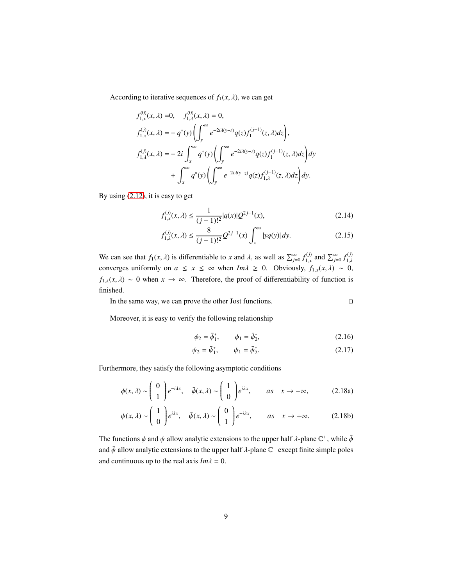According to iterative sequences of  $f_1(x, \lambda)$ , we can get

$$
f_{1,x}^{(0)}(x,\lambda) = 0, \quad f_{1,\lambda}^{(0)}(x,\lambda) = 0,
$$
  
\n
$$
f_{1,x}^{(j)}(x,\lambda) = -q^*(y) \left( \int_y^{\infty} e^{-2i\lambda(y-z)} q(z) f_1^{(j-1)}(z,\lambda) dz \right),
$$
  
\n
$$
f_{1,\lambda}^{(j)}(x,\lambda) = -2i \int_x^{\infty} q^*(y) \left( \int_y^{\infty} e^{-2i\lambda(y-z)} q(z) f_1^{(j-1)}(z,\lambda) dz \right) dy
$$
  
\n
$$
+ \int_x^{\infty} q^*(y) \left( \int_y^{\infty} e^{-2i\lambda(y-z)} q(z) f_{1,\lambda}^{(j-1)}(z,\lambda) dz \right) dy.
$$

By using [\(2.12\)](#page-6-0), it is easy to get

$$
f_{1,x}^{(j)}(x,\lambda) \le \frac{1}{(j-1)!^2} |q(x)| Q^{2j-1}(x),\tag{2.14}
$$

$$
f_{1,\lambda}^{(j)}(x,\lambda) \le \frac{8}{(j-1)!^2} Q^{2j-1}(x) \int_x^{\infty} |yq(y)| dy.
$$
 (2.15)

We can see that  $f_1(x, \lambda)$  is differentiable to *x* and  $\lambda$ , as well as  $\sum_{j=0}^{\infty} f_{1,x}^{(j)}$  $f_{1,x}^{(j)}$  and  $\sum_{j=0}^{\infty} f_{1,\lambda}^{(j)}$ 1,λ converges uniformly on  $a \le x \le \infty$  when  $Im \lambda \ge 0$ . Obviously,  $f_{1,x}(x, \lambda) \sim 0$ ,  $f_{1,\lambda}(x, \lambda) \sim 0$  when  $x \to \infty$ . Therefore, the proof of differentiability of function is finished.

In the same way, we can prove the other Jost functions.  $\Box$ 

Moreover, it is easy to verify the following relationship

<span id="page-8-1"></span><span id="page-8-0"></span>
$$
\phi_2 = \bar{\phi}_1^*, \qquad \phi_1 = \bar{\phi}_2^*, \tag{2.16}
$$

$$
\psi_2 = \bar{\psi}_1^*, \qquad \psi_1 = \bar{\psi}_2^*.
$$
\n(2.17)

Furthermore, they satisfy the following asymptotic conditions

$$
\phi(x,\lambda) \sim \begin{pmatrix} 0 \\ 1 \end{pmatrix} e^{-i\lambda x}, \quad \bar{\phi}(x,\lambda) \sim \begin{pmatrix} 1 \\ 0 \end{pmatrix} e^{i\lambda x}, \qquad as \quad x \to -\infty,
$$
 (2.18a)

$$
\psi(x,\lambda) \sim \begin{pmatrix} 1 \\ 0 \end{pmatrix} e^{i\lambda x}, \quad \bar{\psi}(x,\lambda) \sim \begin{pmatrix} 0 \\ 1 \end{pmatrix} e^{-i\lambda x}, \qquad as \quad x \to +\infty.
$$
 (2.18b)

The functions  $\phi$  and  $\psi$  allow analytic extensions to the upper half  $\lambda$ -plane  $\mathbb{C}^+$ , while  $\bar{\phi}$ and  $\bar{\psi}$  allow analytic extensions to the upper half  $\lambda$ -plane  $\mathbb{C}^-$  except finite simple poles and continuous up to the real axis  $Im \lambda = 0$ .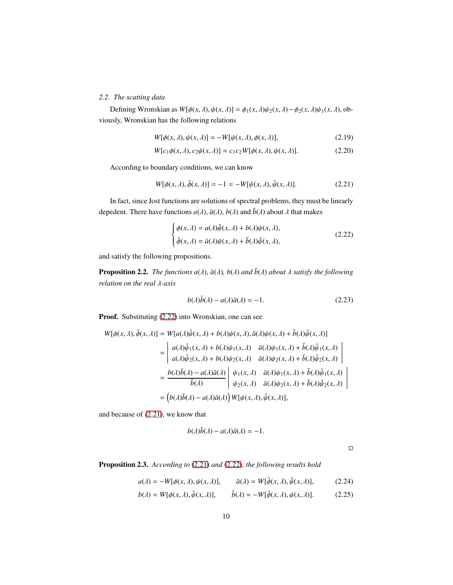## *2.2. The scatting data*

Defining Wronskian as  $W[\phi(x, \lambda), \psi(x, \lambda)] = \phi_1(x, \lambda)\psi_2(x, \lambda) - \phi_2(x, \lambda)\psi_1(x, \lambda)$ , obviously, Wronskian has the following relations

$$
W[\phi(x,\lambda),\psi(x,\lambda)] = -W[\psi(x,\lambda),\phi(x,\lambda)],\tag{2.19}
$$

$$
W[c_1\phi(x,\lambda), c_2\psi(x,\lambda)] = c_1c_2W[\phi(x,\lambda), \psi(x,\lambda)].
$$
 (2.20)

According to boundary conditions, we can know

$$
W[\phi(x,\lambda),\bar{\phi}(x,\lambda)] = -1 = -W[\psi(x,\lambda),\bar{\psi}(x,\lambda)].
$$
\n(2.21)

In fact, since Jost functions are solutions of spectral problems, they must be linearly depedent. There have functions  $a(\lambda)$ ,  $\bar{a}(\lambda)$ ,  $b(\lambda)$  and  $\bar{b}(\lambda)$  about  $\lambda$  that makes

<span id="page-9-1"></span><span id="page-9-0"></span>
$$
\begin{cases}\n\phi(x,\lambda) = a(\lambda)\bar{\psi}(x,\lambda) + b(\lambda)\psi(x,\lambda), \\
\bar{\phi}(x,\lambda) = \bar{a}(\lambda)\psi(x,\lambda) + \bar{b}(\lambda)\bar{\psi}(x,\lambda),\n\end{cases}
$$
\n(2.22)

and satisfy the following propositions.

**Proposition 2.2.** *The functions a*( $\lambda$ )*,*  $\bar{a}(\lambda)$ *, b*( $\lambda$ *) and*  $\bar{b}(\lambda)$  *about*  $\lambda$  *satisfy the following relation on the real* λ*-axis*

$$
b(\lambda)\bar{b}(\lambda) - a(\lambda)\bar{a}(\lambda) = -1.
$$
 (2.23)

Proof. Substituting [\(2.22\)](#page-9-0) into Wronskian, one can see

$$
W[\phi(x,\lambda), \bar{\phi}(x,\lambda)] = W[a(\lambda)\bar{\psi}(x,\lambda) + b(\lambda)\psi(x,\lambda), \bar{a}(\lambda)\psi(x,\lambda) + \bar{b}(\lambda)\bar{\psi}(x,\lambda)]
$$
  
\n
$$
= \begin{vmatrix} a(\lambda)\bar{\psi}_{1}(x,\lambda) + b(\lambda)\psi_{1}(x,\lambda) & \bar{a}(\lambda)\psi_{1}(x,\lambda) + \bar{b}(\lambda)\bar{\psi}_{1}(x,\lambda) \\ a(\lambda)\bar{\psi}_{2}(x,\lambda) + b(\lambda)\psi_{2}(x,\lambda) & \bar{a}(\lambda)\psi_{2}(x,\lambda) + \bar{b}(\lambda)\bar{\psi}_{2}(x,\lambda) \end{vmatrix}
$$
  
\n
$$
= \frac{b(\lambda)\bar{b}(\lambda) - a(\lambda)\bar{a}(\lambda)}{\bar{b}(\lambda)} \begin{vmatrix} \psi_{1}(x,\lambda) & \bar{a}(\lambda)\psi_{1}(x,\lambda) + \bar{b}(\lambda)\bar{\psi}_{1}(x,\lambda) \\ \psi_{2}(x,\lambda) & \bar{a}(\lambda)\psi_{2}(x,\lambda) + \bar{b}(\lambda)\bar{\psi}_{2}(x,\lambda) \end{vmatrix}
$$
  
\n
$$
= (b(\lambda)\bar{b}(\lambda) - a(\lambda)\bar{a}(\lambda)) W[\psi(x,\lambda), \bar{\psi}(x,\lambda)],
$$

and because of [\(2.21\)](#page-9-1), we know that

$$
b(\lambda)\bar{b}(\lambda) - a(\lambda)\bar{a}(\lambda) = -1.
$$

 $\Box$ 

Proposition 2.3. *According to* [\(2.21\)](#page-9-1) *and* [\(2.22\)](#page-9-0)*, the following results hold*

$$
a(\lambda) = -W[\phi(x, \lambda), \psi(x, \lambda)], \qquad \bar{a}(\lambda) = W[\bar{\phi}(x, \lambda), \bar{\psi}(x, \lambda)], \tag{2.24}
$$

$$
b(\lambda) = W[\phi(x, \lambda), \bar{\psi}(x, \lambda)], \qquad \bar{b}(\lambda) = -W[\bar{\phi}(x, \lambda), \psi(x, \lambda)].
$$
 (2.25)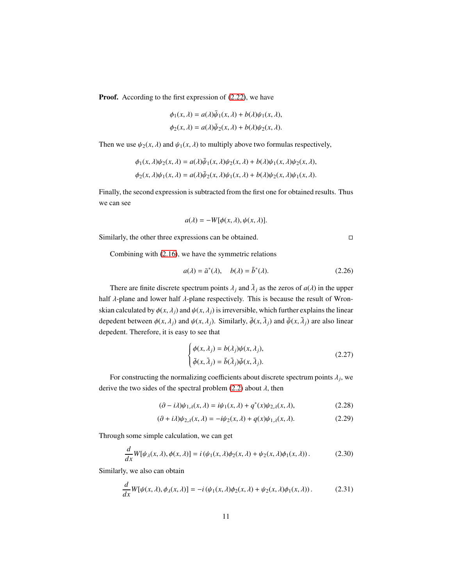Proof. According to the first expression of [\(2.22\)](#page-9-0), we have

$$
\phi_1(x, \lambda) = a(\lambda)\bar{\psi}_1(x, \lambda) + b(\lambda)\psi_1(x, \lambda),
$$
  

$$
\phi_2(x, \lambda) = a(\lambda)\bar{\psi}_2(x, \lambda) + b(\lambda)\psi_2(x, \lambda).
$$

Then we use  $\psi_2(x, \lambda)$  and  $\psi_1(x, \lambda)$  to multiply above two formulas respectively,

$$
\phi_1(x,\lambda)\psi_2(x,\lambda) = a(\lambda)\bar{\psi}_1(x,\lambda)\psi_2(x,\lambda) + b(\lambda)\psi_1(x,\lambda)\psi_2(x,\lambda),
$$
  

$$
\phi_2(x,\lambda)\psi_1(x,\lambda) = a(\lambda)\bar{\psi}_2(x,\lambda)\psi_1(x,\lambda) + b(\lambda)\psi_2(x,\lambda)\psi_1(x,\lambda).
$$

Finally, the second expression is subtracted from the first one for obtained results. Thus we can see

$$
a(\lambda) = -W[\phi(x,\lambda), \psi(x,\lambda)].
$$

Similarly, the other three expressions can be obtained.  $\Box$ 

Combining with [\(2.16\)](#page-8-0), we have the symmetric relations

$$
a(\lambda) = \bar{a}^*(\lambda), \quad b(\lambda) = \bar{b}^*(\lambda). \tag{2.26}
$$

There are finite discrete spectrum points  $\lambda_j$  and  $\bar{\lambda}_j$  as the zeros of  $a(\lambda)$  in the upper half  $\lambda$ -plane and lower half  $\lambda$ -plane respectively. This is because the result of Wronskian calculated by  $\phi(x, \lambda_i)$  and  $\psi(x, \lambda_i)$  is irreversible, which further explains the linear depedent between  $\phi(x, \lambda_j)$  and  $\psi(x, \lambda_j)$ . Similarly,  $\bar{\phi}(x, \bar{\lambda}_j)$  and  $\bar{\psi}(x, \bar{\lambda}_j)$  are also linear depedent. Therefore, it is easy to see that

<span id="page-10-0"></span>
$$
\begin{cases}\n\phi(x,\lambda_j) = b(\lambda_j)\psi(x,\lambda_j), \\
\bar{\phi}(x,\bar{\lambda}_j) = \bar{b}(\bar{\lambda}_j)\bar{\psi}(x,\bar{\lambda}_j).\n\end{cases}
$$
\n(2.27)

For constructing the normalizing coefficients about discrete spectrum points  $\lambda_j$ , we derive the two sides of the spectral problem [\(2.2\)](#page-3-1) about  $\lambda$ , then

$$
(\partial - i\lambda)\psi_{1,\lambda}(x,\lambda) = i\psi_1(x,\lambda) + q^*(x)\psi_{2,\lambda}(x,\lambda),\tag{2.28}
$$

<span id="page-10-1"></span>
$$
(\partial + i\lambda)\psi_{2,\lambda}(x,\lambda) = -i\psi_2(x,\lambda) + q(x)\psi_{1,\lambda}(x,\lambda). \tag{2.29}
$$

Through some simple calculation, we can get

$$
\frac{d}{dx}W[\psi_{\lambda}(x,\lambda),\phi(x,\lambda)] = i(\psi_1(x,\lambda)\phi_2(x,\lambda) + \psi_2(x,\lambda)\phi_1(x,\lambda)).
$$
\n(2.30)

Similarly, we also can obtain

*d*

$$
\frac{d}{dx}W[\psi(x,\lambda),\phi_{\lambda}(x,\lambda)] = -i(\psi_1(x,\lambda)\phi_2(x,\lambda) + \psi_2(x,\lambda)\phi_1(x,\lambda)).
$$
\n(2.31)

<span id="page-10-2"></span>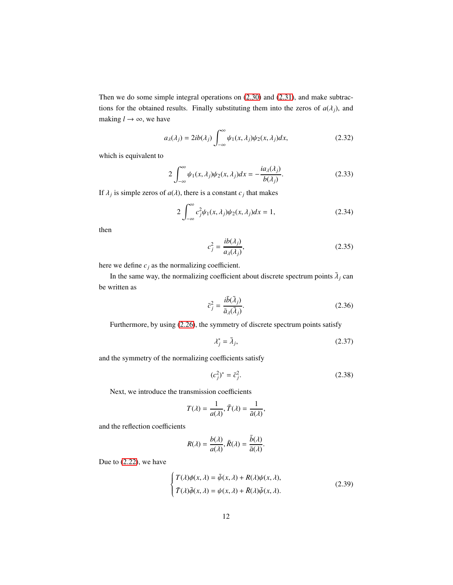Then we do some simple integral operations on [\(2.30\)](#page-10-0) and [\(2.31\)](#page-10-1), and make subtractions for the obtained results. Finally substituting them into the zeros of  $a(\lambda_j)$ , and making  $l \rightarrow \infty$ , we have

$$
a_{\lambda}(\lambda_j) = 2ib(\lambda_j) \int_{-\infty}^{\infty} \psi_1(x, \lambda_j) \psi_2(x, \lambda_j) dx,
$$
 (2.32)

which is equivalent to

$$
2\int_{-\infty}^{\infty} \psi_1(x,\lambda_j)\psi_2(x,\lambda_j)dx = -\frac{ia_\lambda(\lambda_j)}{b(\lambda_j)}.
$$
 (2.33)

If  $\lambda_j$  is simple zeros of  $a(\lambda)$ , there is a constant  $c_j$  that makes

$$
2\int_{-\infty}^{\infty} c_j^2 \psi_1(x, \lambda_j) \psi_2(x, \lambda_j) dx = 1,
$$
\n(2.34)

then

$$
c_j^2 = \frac{ib(\lambda_j)}{a_\lambda(\lambda_j)},\tag{2.35}
$$

here we define  $c_j$  as the normalizing coefficient.

In the same way, the normalizing coefficient about discrete spectrum points  $\bar{\lambda}_j$  can be written as

$$
\bar{c}_j^2 = \frac{i\bar{b}(\bar{\lambda}_j)}{\bar{a}_\lambda(\bar{\lambda}_j)}.\tag{2.36}
$$

Furthermore, by using [\(2.26\)](#page-10-2), the symmetry of discrete spectrum points satisfy

$$
\lambda_j^* = \bar{\lambda}_j,\tag{2.37}
$$

and the symmetry of the normalizing coefficients satisfy

$$
(c_j^2)^* = \bar{c}_j^2.
$$
 (2.38)

Next, we introduce the transmission coefficients

$$
T(\lambda) = \frac{1}{a(\lambda)}, \bar{T}(\lambda) = \frac{1}{\bar{a}(\lambda)},
$$

and the reflection coefficients

$$
R(\lambda) = \frac{b(\lambda)}{a(\lambda)}, \bar{R}(\lambda) = \frac{\bar{b}(\lambda)}{\bar{a}(\lambda)}
$$

Due to [\(2.22\)](#page-9-0), we have

$$
\begin{cases}\nT(\lambda)\phi(x,\lambda) = \bar{\psi}(x,\lambda) + R(\lambda)\psi(x,\lambda), \\
\bar{T}(\lambda)\bar{\phi}(x,\lambda) = \psi(x,\lambda) + \bar{R}(\lambda)\bar{\psi}(x,\lambda).\n\end{cases} (2.39)
$$

.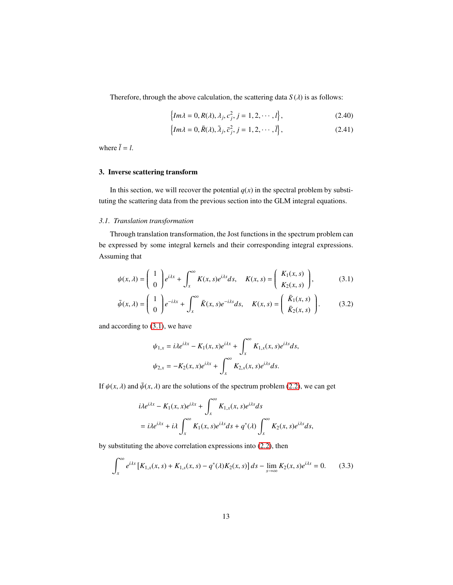Therefore, through the above calculation, the scattering data  $S(\lambda)$  is as follows:

$$
\{Im\lambda = 0, R(\lambda), \lambda_j, c_j^2, j = 1, 2, \cdots, l\},\qquad(2.40)
$$

$$
\left\{Im\lambda=0,\bar{R}(\lambda),\bar{\lambda}_j,\bar{c}_j^2,j=1,2,\cdots,\bar{l}\right\},\qquad(2.41)
$$

where  $\bar{l} = l$ .

## 3. Inverse scattering transform

In this section, we will recover the potential  $q(x)$  in the spectral problem by substituting the scattering data from the previous section into the GLM integral equations.

## *3.1. Translation transformation*

Through translation transformation, the Jost functions in the spectrum problem can be expressed by some integral kernels and their corresponding integral expressions. Assuming that

$$
\psi(x,\lambda) = \begin{pmatrix} 1 \\ 0 \end{pmatrix} e^{i\lambda x} + \int_x^{\infty} K(x,s)e^{i\lambda s}ds, \quad K(x,s) = \begin{pmatrix} K_1(x,s) \\ K_2(x,s) \end{pmatrix},
$$
(3.1)

$$
\bar{\psi}(x,\lambda) = \begin{pmatrix} 1 \\ 0 \end{pmatrix} e^{-i\lambda x} + \int_x^{\infty} \bar{K}(x,s)e^{-i\lambda s}ds, \quad K(x,s) = \begin{pmatrix} \bar{K}_1(x,s) \\ \bar{K}_2(x,s) \end{pmatrix}.
$$
 (3.2)

and according to [\(3.1\)](#page-12-0), we have

<span id="page-12-0"></span>
$$
\psi_{1,x} = i\lambda e^{i\lambda x} - K_1(x,x)e^{i\lambda x} + \int_x^{\infty} K_{1,x}(x,s)e^{i\lambda s}ds,
$$
  

$$
\psi_{2,x} = -K_2(x,x)e^{i\lambda x} + \int_x^{\infty} K_{2,x}(x,s)e^{i\lambda s}ds.
$$

If  $\psi(x, \lambda)$  and  $\bar{\psi}(x, \lambda)$  are the solutions of the spectrum problem [\(2.2\)](#page-3-1), we can get

<span id="page-12-1"></span>
$$
i\lambda e^{i\lambda x} - K_1(x, x)e^{i\lambda x} + \int_x^{\infty} K_{1,x}(x, s)e^{i\lambda s}ds
$$
  
=  $i\lambda e^{i\lambda x} + i\lambda \int_x^{\infty} K_1(x, s)e^{i\lambda s}ds + q^*(\lambda) \int_x^{\infty} K_2(x, s)e^{i\lambda s}ds,$ 

by substituting the above correlation expressions into [\(2.2\)](#page-3-1), then

$$
\int_{x}^{\infty} e^{i\lambda s} \left[ K_{1,x}(x,s) + K_{1,s}(x,s) - q^*(\lambda) K_2(x,s) \right] ds - \lim_{s \to \infty} K_2(x,s) e^{i\lambda s} = 0. \tag{3.3}
$$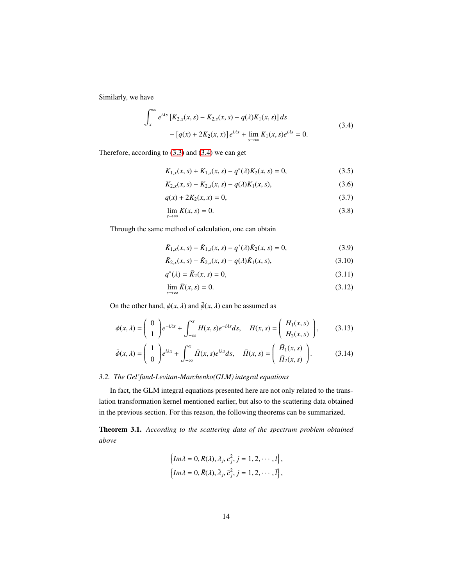Similarly, we have

$$
\int_{x}^{\infty} e^{i\lambda s} \left[ K_{2,x}(x,s) - K_{2,s}(x,s) - q(\lambda)K_{1}(x,s) \right] ds
$$
\n
$$
- [q(x) + 2K_{2}(x,x)] e^{i\lambda x} + \lim_{s \to \infty} K_{1}(x,s) e^{i\lambda s} = 0.
$$
\n(3.4)

Therefore, according to [\(3.3\)](#page-12-1) and [\(3.4\)](#page-13-0) we can get

<span id="page-13-0"></span>
$$
K_{1,x}(x,s) + K_{1,s}(x,s) - q^*(\lambda)K_2(x,s) = 0,
$$
\n(3.5)

$$
K_{2,x}(x,s) - K_{2,s}(x,s) - q(\lambda)K_1(x,s),
$$
\n(3.6)

<span id="page-13-1"></span>
$$
q(x) + 2K_2(x, x) = 0,\t(3.7)
$$

$$
\lim_{s \to \infty} K(x, s) = 0. \tag{3.8}
$$

Through the same method of calculation, one can obtain

$$
\bar{K}_{1,x}(x,s) - \bar{K}_{1,s}(x,s) - q^*(\lambda)\bar{K}_2(x,s) = 0,
$$
\n(3.9)

$$
\bar{K}_{2,x}(x,s) - \bar{K}_{2,s}(x,s) - q(\lambda)\bar{K}_1(x,s),
$$
\n(3.10)

$$
q^*(\lambda) = \bar{K}_2(x, s) = 0,\tag{3.11}
$$

$$
\lim_{s \to \infty} \bar{K}(x, s) = 0. \tag{3.12}
$$

On the other hand,  $\phi(x, \lambda)$  and  $\bar{\phi}(x, \lambda)$  can be assumed as

$$
\phi(x,\lambda) = \begin{pmatrix} 0 \\ 1 \end{pmatrix} e^{-i\lambda x} + \int_{-\infty}^{x} H(x,s)e^{-i\lambda s}ds, \quad H(x,s) = \begin{pmatrix} H_1(x,s) \\ H_2(x,s) \end{pmatrix}, \tag{3.13}
$$

$$
\bar{\phi}(x,\lambda) = \begin{pmatrix} 1 \\ 0 \end{pmatrix} e^{i\lambda x} + \int_{-\infty}^{x} \bar{H}(x,s)e^{i\lambda s}ds, \quad \bar{H}(x,s) = \begin{pmatrix} \bar{H}_1(x,s) \\ \bar{H}_2(x,s) \end{pmatrix}.
$$
 (3.14)

## *3.2. The Gel'fand-Levitan-Marchenko(GLM) integral equations*

In fact, the GLM integral equations presented here are not only related to the translation transformation kernel mentioned earlier, but also to the scattering data obtained in the previous section. For this reason, the following theorems can be summarized.

Theorem 3.1. *According to the scattering data of the spectrum problem obtained above*

$$
\left\{Im\lambda=0, R(\lambda), \lambda_j, c_j^2, j=1, 2, \cdots, l\right\},\
$$

$$
\left\{Im\lambda=0, \bar{R}(\lambda), \bar{\lambda}_j, \bar{c}_j^2, j=1, 2, \cdots, \bar{l}\right\},\
$$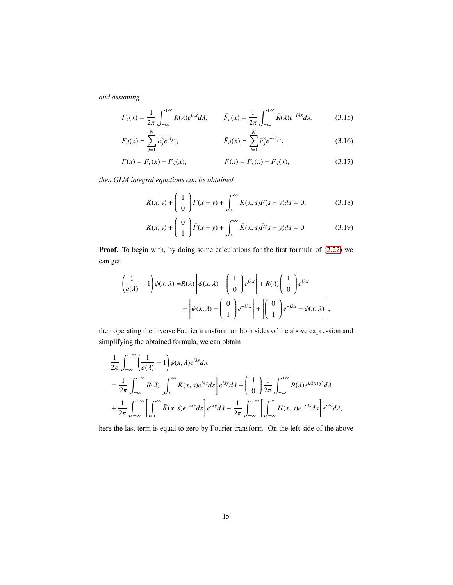*and assuming*

$$
F_c(x) = \frac{1}{2\pi} \int_{-\infty}^{+\infty} R(\lambda) e^{i\lambda x} d\lambda, \qquad \bar{F}_c(x) = \frac{1}{2\pi} \int_{-\infty}^{+\infty} \bar{R}(\lambda) e^{-i\lambda x} d\lambda,
$$
 (3.15)

$$
F_d(x) = \sum_{j=1}^{N} c_j^2 e^{i\lambda_j x}, \qquad \qquad \bar{F}_d(x) = \sum_{j=1}^{\bar{N}} \bar{c}_j^2 e^{-i\bar{\lambda}_j x}, \qquad (3.16)
$$

$$
F(x) = F_c(x) - F_d(x), \qquad \qquad \bar{F}(x) = \bar{F}_c(x) - \bar{F}_d(x), \tag{3.17}
$$

*then GLM integral equations can be obtained*

$$
\bar{K}(x, y) + \begin{pmatrix} 1 \\ 0 \end{pmatrix} F(x + y) + \int_{x}^{\infty} K(x, s) F(s + y) ds = 0,
$$
 (3.18)

$$
K(x, y) + {0 \choose 1} \bar{F}(x + y) + \int_x^{\infty} \bar{K}(x, s)\bar{F}(s + y)ds = 0.
$$
 (3.19)

Proof. To begin with, by doing some calculations for the first formula of [\(2.22\)](#page-9-0) we can get

$$
\left(\frac{1}{a(\lambda)}-1\right)\phi(x,\lambda) = R(\lambda)\left[\psi(x,\lambda)-\left(\begin{array}{c}1\\0\end{array}\right)e^{i\lambda x}\right] + R(\lambda)\left(\begin{array}{c}1\\0\end{array}\right)e^{i\lambda x} + \left[\psi(x,\lambda)-\left(\begin{array}{c}0\\1\end{array}\right)e^{-i\lambda x}\right] + \left[\left(\begin{array}{c}0\\1\end{array}\right)e^{-i\lambda x} - \phi(x,\lambda)\right],
$$

then operating the inverse Fourier transform on both sides of the above expression and simplifying the obtained formula, we can obtain

$$
\frac{1}{2\pi} \int_{-\infty}^{+\infty} \left(\frac{1}{a(\lambda)} - 1\right) \phi(x, \lambda) e^{i\lambda y} d\lambda
$$
\n
$$
= \frac{1}{2\pi} \int_{-\infty}^{+\infty} R(\lambda) \left[ \int_{x}^{\infty} K(x, s) e^{i\lambda s} ds \right] e^{i\lambda y} d\lambda + \left( \begin{array}{c} 1 \\ 0 \end{array} \right) \frac{1}{2\pi} \int_{-\infty}^{+\infty} R(\lambda) e^{i\lambda (x+y)} d\lambda
$$
\n
$$
+ \frac{1}{2\pi} \int_{-\infty}^{+\infty} \left[ \int_{x}^{\infty} \bar{K}(x, s) e^{-i\lambda s} ds \right] e^{i\lambda y} d\lambda - \frac{1}{2\pi} \int_{-\infty}^{+\infty} \left[ \int_{-\infty}^{x} H(x, s) e^{-i\lambda s} ds \right] e^{i\lambda y} d\lambda,
$$

here the last term is equal to zero by Fourier transform. On the left side of the above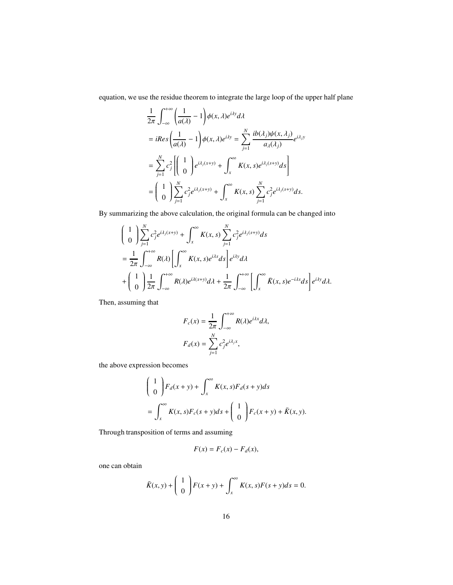equation, we use the residue theorem to integrate the large loop of the upper half plane

$$
\frac{1}{2\pi} \int_{-\infty}^{+\infty} \left( \frac{1}{a(\lambda)} - 1 \right) \phi(x, \lambda) e^{i\lambda y} d\lambda
$$
\n
$$
= iRes \left( \frac{1}{a(\lambda)} - 1 \right) \phi(x, \lambda) e^{i\lambda y} = \sum_{j=1}^{N} \frac{i b(\lambda_j) \psi(x, \lambda_j)}{a_{\lambda}(\lambda_j)} e^{i\lambda_j y}
$$
\n
$$
= \sum_{j=1}^{N} c_j^2 \left[ \begin{pmatrix} 1 \\ 0 \end{pmatrix} e^{i\lambda_j (x+y)} + \int_x^{\infty} K(x, s) e^{i\lambda_j (s+y)} ds \right]
$$
\n
$$
= \begin{pmatrix} 1 \\ 0 \end{pmatrix} \sum_{j=1}^{N} c_j^2 e^{i\lambda_j (x+y)} + \int_x^{\infty} K(x, s) \sum_{j=1}^{N} c_j^2 e^{i\lambda_j (s+y)} ds.
$$

By summarizing the above calculation, the original formula can be changed into

$$
\begin{split}\n&\left(\begin{array}{c}\n1 \\
0\n\end{array}\right) \sum_{j=1}^{N} c_j^2 e^{i\lambda_j(x+y)} + \int_x^\infty K(x,s) \sum_{j=1}^{N} c_j^2 e^{i\lambda_j(s+y)} ds \\
&= \frac{1}{2\pi} \int_{-\infty}^{+\infty} R(\lambda) \left[ \int_x^\infty K(x,s) e^{i\lambda s} ds \right] e^{i\lambda y} d\lambda \\
&+ \left(\begin{array}{c}\n1 \\
0\n\end{array}\right) \frac{1}{2\pi} \int_{-\infty}^{+\infty} R(\lambda) e^{i\lambda(x+y)} d\lambda + \frac{1}{2\pi} \int_{-\infty}^{+\infty} \left[ \int_x^\infty \bar{K}(x,s) e^{-i\lambda s} ds \right] e^{i\lambda y} d\lambda.\n\end{split}
$$

Then, assuming that

$$
F_c(x) = \frac{1}{2\pi} \int_{-\infty}^{+\infty} R(\lambda) e^{i\lambda x} d\lambda,
$$

$$
F_d(x) = \sum_{j=1}^N c_j^2 e^{i\lambda_j x},
$$

the above expression becomes

$$
\begin{aligned} &\left(\begin{array}{c} 1\\0 \end{array}\right)F_d(x+y) + \int_x^\infty K(x,s)F_d(s+y)ds\\ &= \int_x^\infty K(x,s)F_c(s+y)ds + \left(\begin{array}{c} 1\\0 \end{array}\right)F_c(x+y) + \bar{K}(x,y). \end{aligned}
$$

Through transposition of terms and assuming

$$
F(x) = F_c(x) - F_d(x),
$$

one can obtain

$$
\bar{K}(x,y) + \left(\begin{array}{c}1\\0\end{array}\right)F(x+y) + \int_x^{\infty} K(x,s)F(s+y)ds = 0.
$$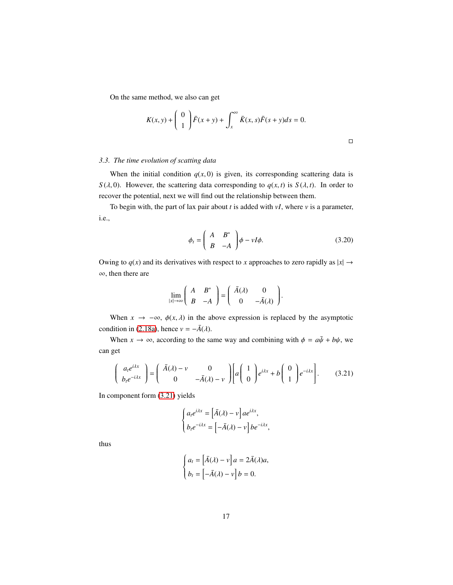On the same method, we also can get

$$
K(x, y) + \begin{pmatrix} 0 \\ 1 \end{pmatrix} \overline{F}(x + y) + \int_x^{\infty} \overline{K}(x, s) \overline{F}(s + y) ds = 0.
$$

## *3.3. The time evolution of scatting data*

When the initial condition  $q(x, 0)$  is given, its corresponding scattering data is *S*( $\lambda$ , 0). However, the scattering data corresponding to  $q(x, t)$  is  $S(\lambda, t)$ . In order to recover the potential, next we will find out the relationship between them.

To begin with, the part of lax pair about *t* is added with *vI*, where *v* is a parameter, i.e.,

$$
\phi_t = \begin{pmatrix} A & B^* \\ B & -A \end{pmatrix} \phi - vI\phi.
$$
 (3.20)

Owing to  $q(x)$  and its derivatives with respect to *x* approaches to zero rapidly as  $|x| \rightarrow$ ∞, then there are

$$
\lim_{|\lambda| \to \infty} \begin{pmatrix} A & B^* \\ B & -A \end{pmatrix} = \begin{pmatrix} \bar{A}(\lambda) & 0 \\ 0 & -\bar{A}(\lambda) \end{pmatrix}.
$$

When  $x \to -\infty$ ,  $\phi(x, \lambda)$  in the above expression is replaced by the asymptotic condition in [\(2.18a\)](#page-8-1), hence  $v = -\bar{A}(\lambda)$ .

When  $x \to \infty$ , according to the same way and combining with  $\phi = a\bar{\psi} + b\psi$ , we can get

$$
\begin{pmatrix} a_t e^{i\lambda x} \\ b_t e^{-i\lambda x} \end{pmatrix} = \begin{pmatrix} \bar{A}(\lambda) - v & 0 \\ 0 & -\bar{A}(\lambda) - v \end{pmatrix} \begin{bmatrix} a \begin{pmatrix} 1 \\ 0 \end{pmatrix} e^{i\lambda x} + b \begin{pmatrix} 0 \\ 1 \end{pmatrix} e^{-i\lambda x} \end{bmatrix}.
$$
 (3.21)

In component form [\(3.21\)](#page-16-0) yields

<span id="page-16-0"></span>
$$
\begin{cases} a_t e^{i\lambda x} = \left[ \bar{A}(\lambda) - v \right] a e^{i\lambda x}, \\ b_t e^{-i\lambda x} = \left[ -\bar{A}(\lambda) - v \right] b e^{-i\lambda x}, \end{cases}
$$

thus

$$
\begin{cases} a_t = \left[ \bar{A}(\lambda) - v \right] a = 2\bar{A}(\lambda)a, \\ b_t = \left[ -\bar{A}(\lambda) - v \right] b = 0. \end{cases}
$$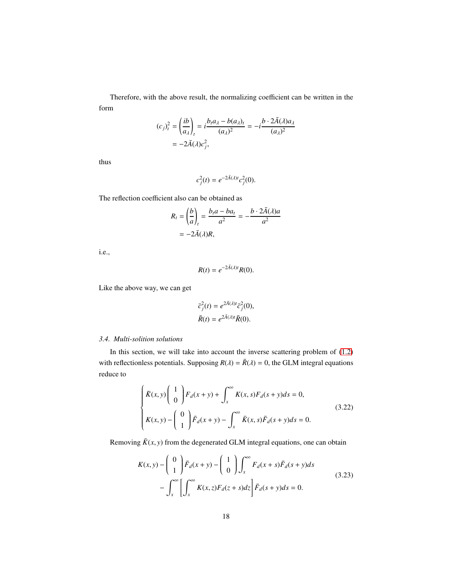Therefore, with the above result, the normalizing coefficient can be written in the form

$$
(c_j)_t^2 = \left(\frac{ib}{a_\lambda}\right)_t = i\frac{b_t a_\lambda - b(a_\lambda)_t}{(a_\lambda)^2} = -i\frac{b \cdot 2\overline{A}(\lambda) a_\lambda}{(a_\lambda)^2}
$$

$$
= -2\overline{A}(\lambda) c_j^2,
$$

thus

$$
c_j^2(t) = e^{-2\overline{A}(\lambda)t}c_j^2(0).
$$

The reflection coefficient also can be obtained as

$$
R_t = \left(\frac{b}{a}\right)_t = \frac{b_t a - ba_t}{a^2} = -\frac{b \cdot 2\bar{A}(\lambda)a}{a^2}
$$

$$
= -2\bar{A}(\lambda)R,
$$

i.e.,

$$
R(t) = e^{-2\bar{A}(\lambda)t} R(0).
$$

Like the above way, we can get

$$
\bar{c}_j^2(t) = e^{2\bar{A}(\lambda)t} \bar{c}_j^2(0),
$$
  

$$
\bar{R}(t) = e^{2\bar{A}(\lambda)t} \bar{R}(0).
$$

# *3.4. Multi-solition solutions*

In this section, we will take into account the inverse scattering problem of [\(1.2\)](#page-1-0) with reflectionless potentials. Supposing  $R(\lambda) = \overline{R}(\lambda) = 0$ , the GLM integral equations reduce to

$$
\begin{cases}\n\bar{K}(x, y) \begin{pmatrix} 1 \\ 0 \end{pmatrix} F_d(x + y) + \int_x^{\infty} K(x, s) F_d(s + y) ds = 0, \\
K(x, y) - \begin{pmatrix} 0 \\ 1 \end{pmatrix} \bar{F}_d(x + y) - \int_x^{\infty} \bar{K}(x, s) \bar{F}_d(s + y) ds = 0.\n\end{cases}
$$
\n(3.22)

Removing  $\bar{K}(x, y)$  from the degenerated GLM integral equations, one can obtain

$$
K(x,y) - \begin{pmatrix} 0 \\ 1 \end{pmatrix} \overline{F}_d(x+y) - \begin{pmatrix} 1 \\ 0 \end{pmatrix} \int_x^{\infty} F_d(x+s) \overline{F}_d(s+y) ds
$$
  

$$
- \int_x^{\infty} \left[ \int_x^{\infty} K(x,z) F_d(z+s) dz \right] \overline{F}_d(s+y) ds = 0.
$$
 (3.23)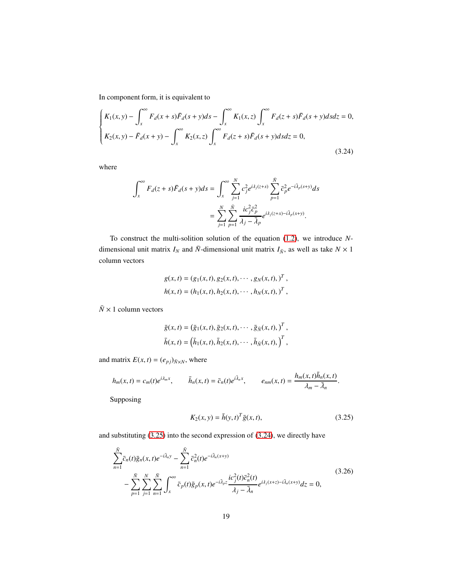In component form, it is equivalent to

$$
\begin{cases} K_1(x, y) - \int_x^{\infty} F_d(x + s) \bar{F}_d(s + y) ds - \int_x^{\infty} K_1(x, z) \int_x^{\infty} F_d(z + s) \bar{F}_d(s + y) ds dz = 0, \\ K_2(x, y) - \bar{F}_d(x + y) - \int_x^{\infty} K_2(x, z) \int_x^{\infty} F_d(z + s) \bar{F}_d(s + y) ds dz = 0, \end{cases}
$$
\n(3.24)

where

<span id="page-18-1"></span>
$$
\int_{x}^{\infty} F_d(z+s)\bar{F}_d(s+y)ds = \int_{x}^{\infty} \sum_{j=1}^{N} c_j^2 e^{i\lambda_j(z+s)} \sum_{p=1}^{\bar{N}} \bar{c}_p^2 e^{-i\bar{\lambda}_p(s+y)}ds
$$

$$
= \sum_{j=1}^{N} \sum_{p=1}^{\bar{N}} \frac{ic_j^2 \bar{c}_p^2}{\lambda_j - \bar{\lambda}_p} e^{i\lambda_j(z+x) - i\bar{\lambda}_p(x+y)}.
$$

To construct the multi-solition solution of the equation [\(1.2\)](#page-1-0), we introduce *N*dimensional unit matrix  $I_N$  and  $\bar{N}$ -dimensional unit matrix  $I_{\bar{N}}$ , as well as take  $N \times 1$ column vectors

$$
g(x, t) = (g_1(x, t), g_2(x, t), \cdots, g_N(x, t), )^T,
$$
  

$$
h(x, t) = (h_1(x, t), h_2(x, t), \cdots, h_N(x, t), )^T,
$$

 $\bar{N} \times 1$  column vectors

$$
\overline{g}(x,t) = \left(\overline{g}_1(x,t), \overline{g}_2(x,t), \cdots, \overline{g}_{\overline{N}}(x,t),\right)^T,
$$
  

$$
\overline{h}(x,t) = \left(\overline{h}_1(x,t), \overline{h}_2(x,t), \cdots, \overline{h}_{\overline{N}}(x,t),\right)^T,
$$

and matrix  $E(x, t) = (e_{pj})_{\bar{N} \times N}$ , where

$$
h_m(x,t) = c_m(t)e^{i\lambda_m x}, \qquad \bar{h}_n(x,t) = \bar{c}_n(t)e^{i\bar{\lambda}_n x}, \qquad e_{nm}(x,t) = \frac{h_m(x,t)\bar{h}_n(x,t)}{\lambda_m - \bar{\lambda}_n}.
$$

Supposing

<span id="page-18-0"></span>
$$
K_2(x, y) = \bar{h}(y, t)^T \bar{g}(x, t),
$$
\n(3.25)

and substituting [\(3.25\)](#page-18-0) into the second expression of [\(3.24\)](#page-18-1), we directly have

$$
\sum_{n=1}^{\tilde{N}} \bar{c}_n(t)\bar{g}_n(x,t)e^{-i\bar{\lambda}_n y} - \sum_{n=1}^{\tilde{N}} \bar{c}_n^2(t)e^{-i\bar{\lambda}_n(x+y)} \n- \sum_{p=1}^{\tilde{N}} \sum_{j=1}^{\tilde{N}} \sum_{n=1}^{\tilde{N}} \int_x^{\infty} \bar{c}_p(t)\bar{g}_p(x,t)e^{-i\bar{\lambda}_p z} \frac{i c_j^2(t)\bar{c}_n^2(t)}{\lambda_j - \bar{\lambda}_n} e^{i\lambda_j(x+z) - i\bar{\lambda}_n(x+y)} dz = 0,
$$
\n(3.26)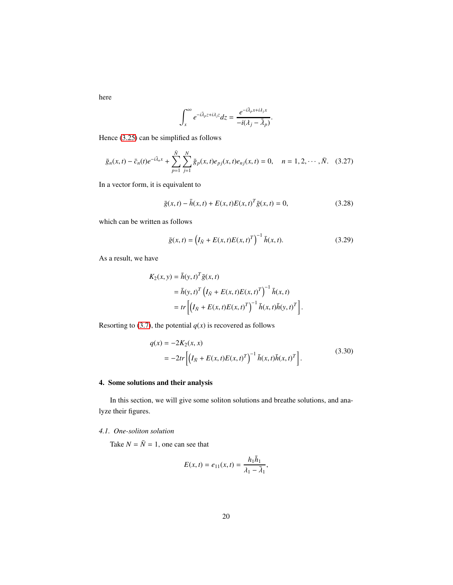here

$$
\int_x^{\infty} e^{-i\bar{\lambda}_p z + i\lambda_j z} dz = \frac{e^{-i\bar{\lambda}_p x + i\lambda_j x}}{-i(\lambda_j - \bar{\lambda}_p)}.
$$

Hence [\(3.25\)](#page-18-0) can be simplified as follows

$$
\bar{g}_n(x,t) - \bar{c}_n(t)e^{-i\bar{\lambda}_nx} + \sum_{p=1}^{\bar{N}} \sum_{j=1}^N \bar{g}_p(x,t)e_{pj}(x,t)e_{nj}(x,t) = 0, \quad n = 1, 2, \cdots, \bar{N}.
$$
 (3.27)

In a vector form, it is equivalent to

$$
\bar{g}(x,t) - \bar{h}(x,t) + E(x,t)E(x,t)^T\bar{g}(x,t) = 0,
$$
\n(3.28)

which can be written as follows

$$
\bar{g}(x,t) = (I_{\bar{N}} + E(x,t)E(x,t)^{T})^{-1} \bar{h}(x,t).
$$
\n(3.29)

As a result, we have

$$
K_2(x, y) = \bar{h}(y, t)^T \bar{g}(x, t)
$$
  
=  $\bar{h}(y, t)^T (I_{\bar{N}} + E(x, t)E(x, t)^T)^{-1} \bar{h}(x, t)$   
=  $tr [(I_{\bar{N}} + E(x, t)E(x, t)^T)^{-1} \bar{h}(x, t)h(y, t)^T].$ 

Resorting to [\(3.7\)](#page-13-1), the potential  $q(x)$  is recovered as follows

$$
q(x) = -2K_2(x, x)
$$
  
=  $-2tr\left[\left(I_{\bar{N}} + E(x, t)E(x, t)^T\right)^{-1} \bar{h}(x, t)\bar{h}(x, t)^T\right].$  (3.30)

# 4. Some solutions and their analysis

In this section, we will give some soliton solutions and breathe solutions, and analyze their figures.

## *4.1. One-soliton solution*

Take  $N = \overline{N} = 1$ , one can see that

$$
E(x,t) = e_{11}(x,t) = \frac{h_1 \bar{h}_1}{\lambda_1 - \bar{\lambda}_1},
$$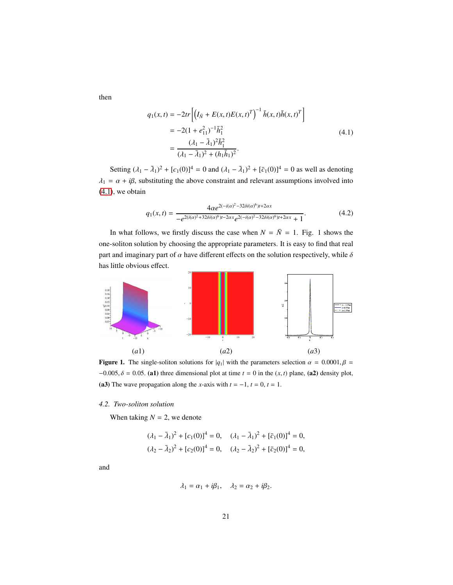then

<span id="page-20-0"></span>
$$
q_1(x,t) = -2tr\left[\left(I_{\bar{N}} + E(x,t)E(x,t)^T\right)^{-1} \bar{h}(x,t)\bar{h}(x,t)^T\right]
$$
  
= -2(1 +  $e_{11}^2$ )<sup>-1</sup> $\bar{h}_1^2$   
= 
$$
\frac{(\lambda_1 - \bar{\lambda}_1)^2 \bar{h}_1^2}{(\lambda_1 - \bar{\lambda}_1)^2 + (h_1\bar{h}_1)^2}.
$$
 (4.1)

Setting  $(\lambda_1 - \bar{\lambda}_1)^2 + [c_1(0)]^4 = 0$  and  $(\lambda_1 - \bar{\lambda}_1)^2 + [\bar{c}_1(0)]^4 = 0$  as well as denoting  $\lambda_1 = \alpha + i\beta$ , substituting the above constraint and relevant assumptions involved into  $(4.1)$ , we obtain

$$
q_1(x,t) = \frac{4\alpha e^{2(-i(\alpha)^2 - 32\delta i(\alpha)^6)t + 2\alpha x}}{-e^{2(i(\alpha)^2 + 32\delta i(\alpha)^6)t - 2\alpha x}e^{2(-i(\alpha)^2 - 32\delta i(\alpha)^6)t + 2\alpha x} + 1}.
$$
(4.2)

In what follows, we firstly discuss the case when  $N = \overline{N} = 1$ . Fig. 1 shows the one-soliton solution by choosing the appropriate parameters. It is easy to find that real part and imaginary part of  $\alpha$  have different effects on the solution respectively, while  $\delta$ has little obvious effect.



**Figure 1.** The single-soliton solutions for  $|q_1|$  with the parameters selection  $\alpha = 0.0001, \beta =$  $-0.005$ ,  $\delta = 0.05$ . (a1) three dimensional plot at time  $t = 0$  in the (*x*, *t*) plane, (a2) density plot, (a3) The wave propagation along the *x*-axis with  $t = -1$ ,  $t = 0$ ,  $t = 1$ .

## *4.2. Two-soliton solution*

When taking  $N = 2$ , we denote

$$
(\lambda_1 - \bar{\lambda}_1)^2 + [c_1(0)]^4 = 0, \quad (\lambda_1 - \bar{\lambda}_1)^2 + [\bar{c}_1(0)]^4 = 0,
$$
  

$$
(\lambda_2 - \bar{\lambda}_2)^2 + [c_2(0)]^4 = 0, \quad (\lambda_2 - \bar{\lambda}_2)^2 + [\bar{c}_2(0)]^4 = 0,
$$

and

$$
\lambda_1 = \alpha_1 + i\beta_1, \quad \lambda_2 = \alpha_2 + i\beta_2.
$$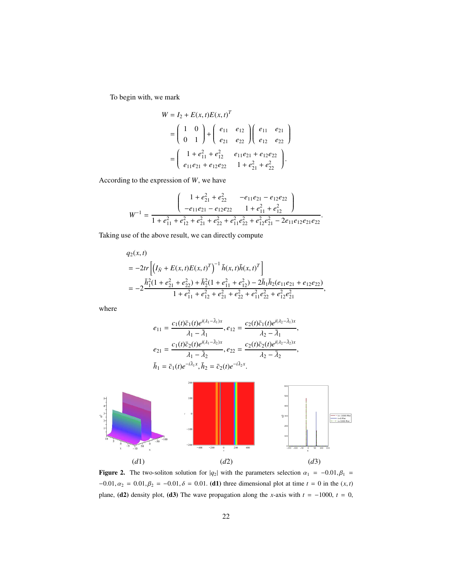To begin with, we mark

$$
W = I_2 + E(x, t)E(x, t)^T
$$
  
=  $\begin{pmatrix} 1 & 0 \\ 0 & 1 \end{pmatrix} + \begin{pmatrix} e_{11} & e_{12} \\ e_{21} & e_{22} \end{pmatrix} \begin{pmatrix} e_{11} & e_{21} \\ e_{12} & e_{22} \end{pmatrix}$   
=  $\begin{pmatrix} 1 + e_{11}^2 + e_{12}^2 & e_{11}e_{21} + e_{12}e_{22} \\ e_{11}e_{21} + e_{12}e_{22} & 1 + e_{21}^2 + e_{22}^2 \end{pmatrix}$ .

According to the expression of *W*, we have

$$
W^{-1} = \frac{\begin{pmatrix} 1 + e_{21}^2 + e_{22}^2 & -e_{11}e_{21} - e_{12}e_{22} \\ -e_{11}e_{21} - e_{12}e_{22} & 1 + e_{11}^2 + e_{12}^2 \end{pmatrix}}{1 + e_{11}^2 + e_{12}^2 + e_{21}^2 + e_{22}^2 + e_{11}^2 e_{22}^2 + e_{12}^2 e_{21}^2 - 2e_{11}e_{12}e_{21}e_{22}}.
$$

Taking use of the above result, we can directly compute

$$
q_2(x,t)
$$
  
=  $-2tr \left[ \left( I_{\tilde{N}} + E(x,t)E(x,t)^T \right)^{-1} \bar{h}(x,t) \bar{h}(x,t)^T \right]$   
=  $-2 \frac{\bar{h}_1^2 (1 + e_{21}^2 + e_{22}^2) + \bar{h}_2^2 (1 + e_{11}^2 + e_{12}^2) - 2 \bar{h}_1 \bar{h}_2 (e_{11}e_{21} + e_{12}e_{22})}{1 + e_{11}^2 + e_{12}^2 + e_{21}^2 + e_{22}^2 + e_{11}^2 e_{22}^2 + e_{12}^2 e_{21}^2},$ 

where

$$
e_{11} = \frac{c_1(t)\bar{c}_1(t)e^{i(\lambda_1 - \bar{\lambda}_1)x}}{\lambda_1 - \bar{\lambda}_1}, e_{12} = \frac{c_2(t)\bar{c}_1(t)e^{i(\lambda_2 - \bar{\lambda}_1)x}}{\lambda_2 - \bar{\lambda}_1},
$$
  
\n
$$
e_{21} = \frac{c_1(t)\bar{c}_2(t)e^{i(\lambda_1 - \bar{\lambda}_2)x}}{\lambda_1 - \bar{\lambda}_2}, e_{22} = \frac{c_2(t)\bar{c}_2(t)e^{i(\lambda_2 - \bar{\lambda}_2)x}}{\lambda_2 - \bar{\lambda}_2},
$$
  
\n
$$
\bar{h}_1 = \bar{c}_1(t)e^{-i\bar{\lambda}_1x}, \bar{h}_2 = \bar{c}_2(t)e^{-i\bar{\lambda}_2x}.
$$



Figure 2. The two-soliton solution for  $|q_2|$  with the parameters selection  $\alpha_1 = -0.01, \beta_1 =$  $-0.01, \alpha_2 = 0.01, \beta_2 = -0.01, \delta = 0.01$ . (**d1**) three dimensional plot at time  $t = 0$  in the  $(x, t)$ plane, (d2) density plot, (d3) The wave propagation along the *x*-axis with  $t = -1000$ ,  $t = 0$ ,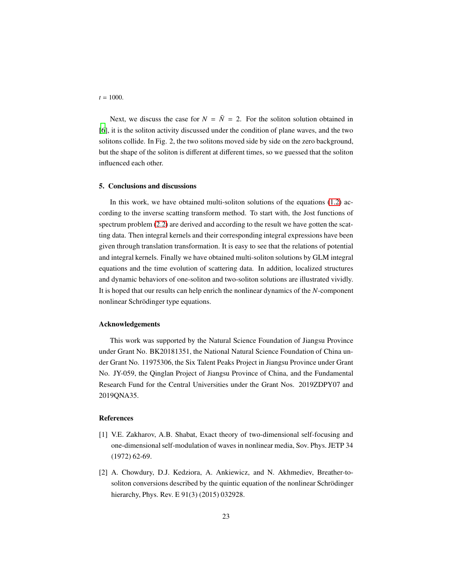$t = 1000$ .

Next, we discuss the case for  $N = \overline{N} = 2$ . For the soliton solution obtained in [\[6](#page-23-2)], it is the soliton activity discussed under the condition of plane waves, and the two solitons collide. In Fig. 2, the two solitons moved side by side on the zero background, but the shape of the soliton is different at different times, so we guessed that the soliton influenced each other.

#### 5. Conclusions and discussions

In this work, we have obtained multi-soliton solutions of the equations [\(1.2\)](#page-1-0) according to the inverse scatting transform method. To start with, the Jost functions of spectrum problem [\(2.2\)](#page-3-1) are derived and according to the result we have gotten the scatting data. Then integral kernels and their corresponding integral expressions have been given through translation transformation. It is easy to see that the relations of potential and integral kernels. Finally we have obtained multi-soliton solutions by GLM integral equations and the time evolution of scattering data. In addition, localized structures and dynamic behaviors of one-soliton and two-soliton solutions are illustrated vividly. It is hoped that our results can help enrich the nonlinear dynamics of the *N*-component nonlinear Schrödinger type equations.

#### Acknowledgements

This work was supported by the Natural Science Foundation of Jiangsu Province under Grant No. BK20181351, the National Natural Science Foundation of China under Grant No. 11975306, the Six Talent Peaks Project in Jiangsu Province under Grant No. JY-059, the Qinglan Project of Jiangsu Province of China, and the Fundamental Research Fund for the Central Universities under the Grant Nos. 2019ZDPY07 and 2019QNA35.

#### References

- <span id="page-22-0"></span>[1] V.E. Zakharov, A.B. Shabat, Exact theory of two-dimensional self-focusing and one-dimensional self-modulation of waves in nonlinear media, Sov. Phys. JETP 34 (1972) 62-69.
- <span id="page-22-1"></span>[2] A. Chowdury, D.J. Kedziora, A. Ankiewicz, and N. Akhmediev, Breather-tosoliton conversions described by the quintic equation of the nonlinear Schrödinger hierarchy, Phys. Rev. E 91(3) (2015) 032928.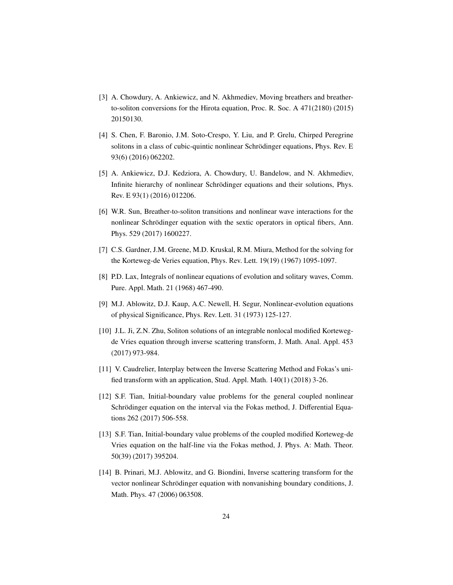- [3] A. Chowdury, A. Ankiewicz, and N. Akhmediev, Moving breathers and breatherto-soliton conversions for the Hirota equation, Proc. R. Soc. A 471(2180) (2015) 20150130.
- <span id="page-23-0"></span>[4] S. Chen, F. Baronio, J.M. Soto-Crespo, Y. Liu, and P. Grelu, Chirped Peregrine solitons in a class of cubic-quintic nonlinear Schrödinger equations, Phys. Rev. E 93(6) (2016) 062202.
- <span id="page-23-1"></span>[5] A. Ankiewicz, D.J. Kedziora, A. Chowdury, U. Bandelow, and N. Akhmediev, Infinite hierarchy of nonlinear Schrödinger equations and their solutions, Phys. Rev. E 93(1) (2016) 012206.
- <span id="page-23-2"></span>[6] W.R. Sun, Breather-to-soliton transitions and nonlinear wave interactions for the nonlinear Schrödinger equation with the sextic operators in optical fibers, Ann. Phys. 529 (2017) 1600227.
- <span id="page-23-3"></span>[7] C.S. Gardner, J.M. Greene, M.D. Kruskal, R.M. Miura, Method for the solving for the Korteweg-de Veries equation, Phys. Rev. Lett. 19(19) (1967) 1095-1097.
- <span id="page-23-4"></span>[8] P.D. Lax, Integrals of nonlinear equations of evolution and solitary waves, Comm. Pure. Appl. Math. 21 (1968) 467-490.
- <span id="page-23-5"></span>[9] M.J. Ablowitz, D.J. Kaup, A.C. Newell, H. Segur, Nonlinear-evolution equations of physical Significance, Phys. Rev. Lett. 31 (1973) 125-127.
- [10] J.L. Ji, Z.N. Zhu, Soliton solutions of an integrable nonlocal modified Kortewegde Vries equation through inverse scattering transform, J. Math. Anal. Appl. 453 (2017) 973-984.
- [11] V. Caudrelier, Interplay between the Inverse Scattering Method and Fokas's unified transform with an application, Stud. Appl. Math. 140(1) (2018) 3-26.
- [12] S.F. Tian, Initial-boundary value problems for the general coupled nonlinear Schrödinger equation on the interval via the Fokas method, J. Differential Equations 262 (2017) 506-558.
- [13] S.F. Tian, Initial-boundary value problems of the coupled modified Korteweg-de Vries equation on the half-line via the Fokas method, J. Phys. A: Math. Theor. 50(39) (2017) 395204.
- [14] B. Prinari, M.J. Ablowitz, and G. Biondini, Inverse scattering transform for the vector nonlinear Schrödinger equation with nonvanishing boundary conditions, J. Math. Phys. 47 (2006) 063508.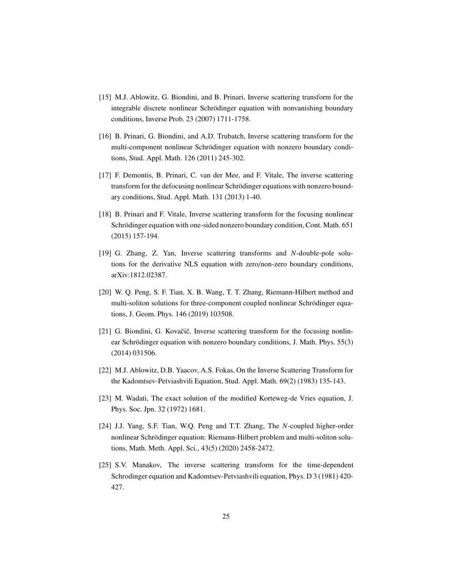- [15] M.J. Ablowitz, G. Biondini, and B. Prinari, Inverse scattering transform for the integrable discrete nonlinear Schrödinger equation with nonvanishing boundary conditions, Inverse Prob. 23 (2007) 1711-1758.
- [16] B. Prinari, G. Biondini, and A.D. Trubatch, Inverse scattering transform for the multi-component nonlinear Schrödinger equation with nonzero boundary conditions, Stud. Appl. Math. 126 (2011) 245-302.
- [17] F. Demontis, B. Prinari, C. van der Mee, and F. Vitale, The inverse scattering transform for the defocusing nonlinear Schrödinger equations with nonzero boundary conditions, Stud. Appl. Math. 131 (2013) 1-40.
- [18] B. Prinari and F. Vitale, Inverse scattering transform for the focusing nonlinear Schrödinger equation with one-sided nonzero boundary condition, Cont. Math. 651 (2015) 157-194.
- [19] G. Zhang, Z. Yan, Inverse scattering transforms and *N*-double-pole solutions for the derivative NLS equation with zero/non-zero boundary conditions, arXiv:1812.02387.
- [20] W. Q. Peng, S. F. Tian, X. B. Wang, T. T. Zhang, Riemann-Hilbert method and multi-soliton solutions for three-component coupled nonlinear Schrödinger equations, J. Geom. Phys. 146 (2019) 103508.
- [21] G. Biondini, G. Kovačič, Inverse scattering transform for the focusing nonlinear Schrödinger equation with nonzero boundary conditions, J. Math. Phys. 55(3) (2014) 031506.
- [22] M.J. Ablowitz, D.B. Yaacov, A.S. Fokas, On the Inverse Scattering Transform for the Kadomtsev-Petviashvili Equation, Stud. Appl. Math. 69(2) (1983) 135-143.
- [23] M. Wadati, The exact solution of the modified Korteweg-de Vries equation, J. Phys. Soc. Jpn. 32 (1972) 1681.
- [24] J.J. Yang, S.F. Tian, W.Q. Peng and T.T. Zhang, The *N*-coupled higher-order nonlinear Schrödinger equation: Riemann-Hilbert problem and multi-soliton solutions, Math. Meth. Appl. Sci., 43(5) (2020) 2458-2472.
- [25] S.V. Manakov, The inverse scattering transform for the time-dependent Schrodinger equation and Kadomtsev-Petviashvili equation, Phys. D 3 (1981) 420- 427.